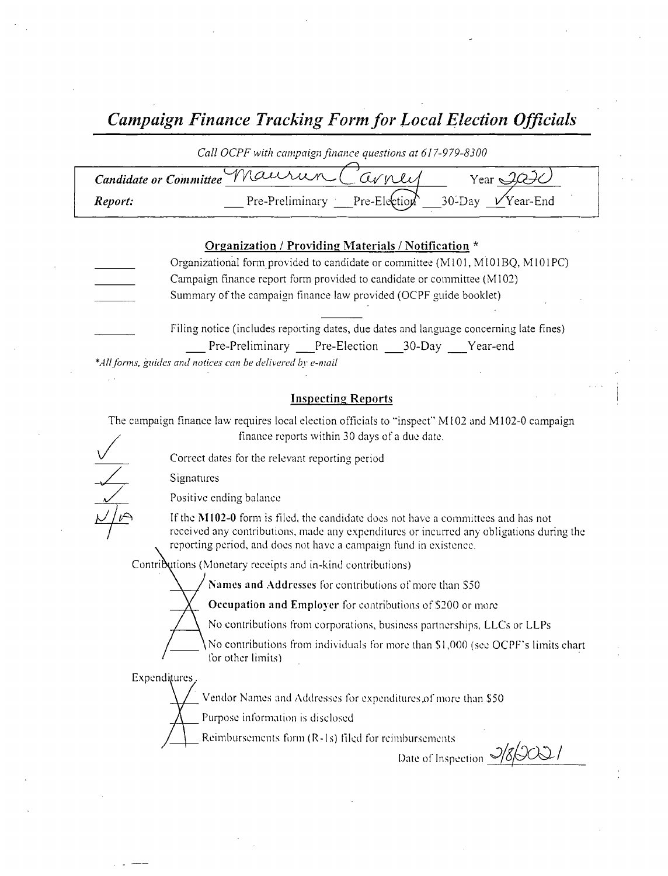Campaign Finance Tracking Form for Local Election Officials

### Call OCPF with campaign finance questions at 617-979-8300

| Candidate or Committee Maurun Carney |                 | $Vear \rightarrow$                      |
|--------------------------------------|-----------------|-----------------------------------------|
| Report:                              | Pre-Preliminary | <b>Pre-Election</b> 30-Day $V$ Year-End |

# Organization / Providing Materials / Notification \*

- Organizational form provided to candidate or committee (M101, M101BQ, M101PC) Campaign finance report form provided to candidate or committee ( M102) Summary of the campaign finance law provided (OCPF guide booklet)
	- Filing notice (includes reporting dates, due dates and language concerning late fines) Pre-Preliminary Pre-Election 30-Day Year-end

\*All forms, guides and notices can be delivered by e-mail

# Inspecting Reports

The campaign finance law requires local election officials to "inspect" M102 and M102-0 campaign finance reports within 30 days of <sup>a</sup> due date.

Correct dates for the relevant reporting period

Signatures

Positive ending balance

If the M102-0 form is filed, the candidate does not have a committees and has not received any contributions, made any expenditures or incurred any obligations during the reporting period, and does not have a campaign fund in existence.

Contributions (Monetary receipts and in-kind contributions)

Names and Addresses for contributions of more than S50

Occupation and Employer for contributions of S200 or more

ANo contributions from corporations, business partnerships, LLCs or LLPs

No contributions from individuals for more than \$1,000 (see OCPF's limits chart for other limits)

**Expenditures**.

Vendor Names and Addresses for expenditures of more than \$50

Purpose information is disclosed

Reimbursements form ( R- Is) tiled for reimbursements

Date of Inspection  $\frac{3}{8}$ OQ/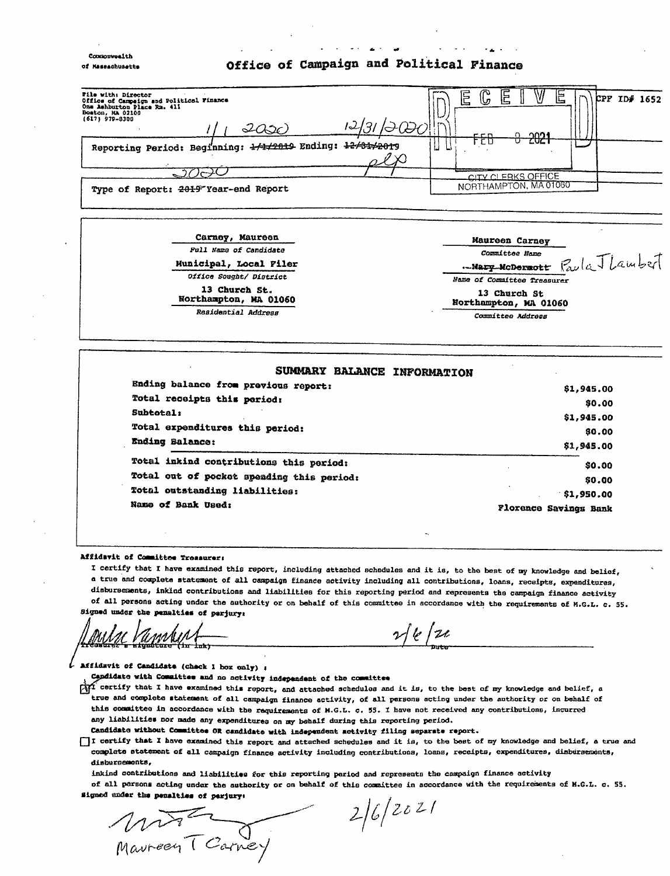#### **Concionweal** of Massachusetts

# Office of Campaign and Political Finance

6

| File with: Director<br>Office of Campaign and Political Finance<br>One Ashburton Place Rm. 411<br>Doston, MA 02108<br>(617) 979-8300<br>12/31/0000<br>2030 | ⋒<br>E<br>W<br>岀<br>≔<br>CPP ID# 1652<br>し。<br>۰.,<br>l ros<br>n.<br>ccn |
|------------------------------------------------------------------------------------------------------------------------------------------------------------|--------------------------------------------------------------------------|
| Reporting Period: Beginning: 1/1/2019 Ending: 12/31/2019                                                                                                   | -2021<br>ם ה<br>ь                                                        |
| Type of Report: 2019 Year-end Report                                                                                                                       | CITY OF EBKS OFFICE<br>NORTHAMPTON, MA01060                              |



| SUMMARY BALANCE INFORMATION               |                              |
|-------------------------------------------|------------------------------|
| Ending balance from previous report:      | \$1,945.00                   |
| Total receipts this period:               | \$0.00                       |
| Subtotal:                                 | \$1,945.00                   |
| Total expenditures this period:           | \$0.00                       |
| Ending Balance:                           | \$1,945.00                   |
| Total inkind contributions this period:   | \$0.00                       |
| Total out of pocket spending this period: | \$0.00                       |
| Total outstanding liabilities:            | \$1,950.00                   |
| Name of Bank Used:                        | <b>Florence Savings Bank</b> |

#### affidavit of Committee Treasurer,

I certify that I have examined this report, including attached schedules and it is, to the beat of my knowledge and belief, <sup>a</sup> true and complete statement of all campaign finance activity including all contributions, loans, receipts, expenditures, disbursements, inkind contributions and liabilities for this reporting period and represents the campaign finance activity of all persons acting under the authority or on behalf of this committee in accordance with the requirements of M.G.L. c. 55. Signed under the penalties of perjury:

 $2/2$ 

affidavit of Candidate ( check <sup>1</sup> box only) s

Capdidate with Committee and no notivity independent of the committee

 $\hat{M}$  certify that I have examined this report, and attached schedules and it is, to the best of my knowledge and belief, a true and complete statement of all campaign finance activity, of all persons acting under the authority or on behalf of this committee in accordance with the requirements of M.G.L. c. 55. I have not received any contributions, incurred any liabilities nor made any expenditures on my behalf during this reporting period.

Candidate without Committee OR candidate with independent activity filing separate report.

<sup>I</sup> certify that I have examined this report and attached schedules and it ia, to the best of my knowledge and belief, a true and complete statement of all campaign finance activity including contributions, loans, receipts, expenditures, disbursements, disburcemonts,

inkind contributions and liabilities for this reporting period and represents the campaign finance activity of all persons acting under the authority or on behalf of this committee in accordance with the requirements of M.G.L. c. 55. signed ender the penalties of perjury;

avreen I Carney

y  $2/6/2021$